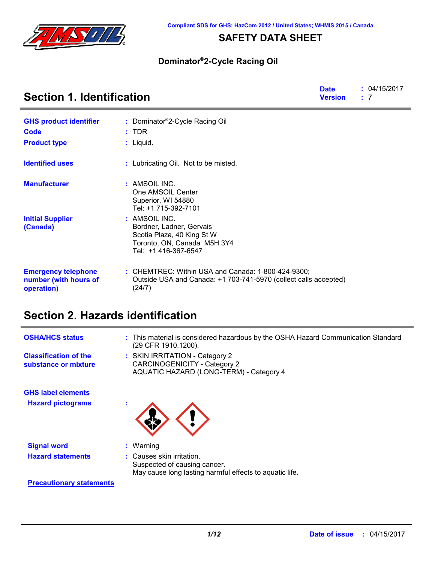

## **SAFETY DATA SHEET**

### **Dominator®2-Cycle Racing Oil**

| <b>Section 1. Identification</b>                                  |                                                                                                                                  | <b>Date</b><br><b>Version</b> | : 04/15/2017<br>: 7 |
|-------------------------------------------------------------------|----------------------------------------------------------------------------------------------------------------------------------|-------------------------------|---------------------|
| <b>GHS product identifier</b>                                     | : Dominator®2-Cycle Racing Oil                                                                                                   |                               |                     |
| Code                                                              | $:$ TDR                                                                                                                          |                               |                     |
| <b>Product type</b>                                               | $:$ Liquid.                                                                                                                      |                               |                     |
| <b>Identified uses</b>                                            | : Lubricating Oil. Not to be misted.                                                                                             |                               |                     |
| <b>Manufacturer</b>                                               | : AMSOIL INC.<br>One AMSOIL Center<br>Superior, WI 54880<br>Tel: +1 715-392-7101                                                 |                               |                     |
| <b>Initial Supplier</b><br>(Canada)                               | : AMSOIL INC.<br>Bordner, Ladner, Gervais<br>Scotia Plaza, 40 King St W<br>Toronto, ON, Canada M5H 3Y4<br>Tel: +1 416-367-6547   |                               |                     |
| <b>Emergency telephone</b><br>number (with hours of<br>operation) | : CHEMTREC: Within USA and Canada: 1-800-424-9300;<br>Outside USA and Canada: +1 703-741-5970 (collect calls accepted)<br>(24/7) |                               |                     |

# **Section 2. Hazards identification**

| <b>OSHA/HCS status</b>                               | : This material is considered hazardous by the OSHA Hazard Communication Standard<br>(29 CFR 1910.1200).             |
|------------------------------------------------------|----------------------------------------------------------------------------------------------------------------------|
| <b>Classification of the</b><br>substance or mixture | : SKIN IRRITATION - Category 2<br><b>CARCINOGENICITY - Category 2</b><br>AQUATIC HAZARD (LONG-TERM) - Category 4     |
| <b>GHS label elements</b>                            |                                                                                                                      |
| <b>Hazard pictograms</b>                             |                                                                                                                      |
| <b>Signal word</b>                                   | $:$ Warning                                                                                                          |
| <b>Hazard statements</b>                             | : Causes skin irritation.<br>Suspected of causing cancer.<br>May cause long lasting harmful effects to aquatic life. |

### **Precautionary statements**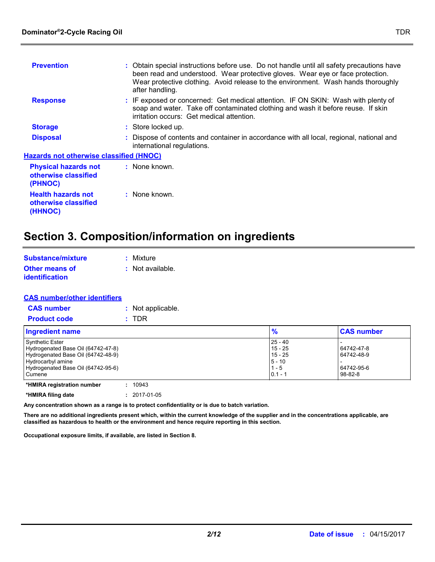| <b>Prevention</b>                                              | : Obtain special instructions before use. Do not handle until all safety precautions have<br>been read and understood. Wear protective gloves. Wear eye or face protection.<br>Wear protective clothing. Avoid release to the environment. Wash hands thoroughly<br>after handling. |
|----------------------------------------------------------------|-------------------------------------------------------------------------------------------------------------------------------------------------------------------------------------------------------------------------------------------------------------------------------------|
| <b>Response</b>                                                | : IF exposed or concerned: Get medical attention. IF ON SKIN: Wash with plenty of<br>soap and water. Take off contaminated clothing and wash it before reuse. If skin<br>irritation occurs: Get medical attention.                                                                  |
| <b>Storage</b>                                                 | : Store locked up.                                                                                                                                                                                                                                                                  |
| <b>Disposal</b>                                                | : Dispose of contents and container in accordance with all local, regional, national and<br>international regulations.                                                                                                                                                              |
| <b>Hazards not otherwise classified (HNOC)</b>                 |                                                                                                                                                                                                                                                                                     |
| <b>Physical hazards not</b><br>otherwise classified<br>(PHNOC) | : None known.                                                                                                                                                                                                                                                                       |
| <b>Health hazards not</b><br>otherwise classified<br>(HHNOC)   | : None known.                                                                                                                                                                                                                                                                       |

# **Section 3. Composition/information on ingredients**

| <b>Substance/mixture</b> | : Mixture          |
|--------------------------|--------------------|
| <b>Other means of</b>    | $:$ Not available. |
| identification           |                    |

#### **CAS number/other identifiers**

| <b>CAS number</b> | : Not applicable. |
|-------------------|-------------------|
|-------------------|-------------------|

| <b>TDR</b><br><b>Product code</b>                                                                                                                                       |                                                                         |                                                         |
|-------------------------------------------------------------------------------------------------------------------------------------------------------------------------|-------------------------------------------------------------------------|---------------------------------------------------------|
| Ingredient name                                                                                                                                                         | $\frac{9}{6}$                                                           | <b>CAS number</b>                                       |
| <b>Synthetic Ester</b><br>Hydrogenated Base Oil (64742-47-8)<br>Hydrogenated Base Oil (64742-48-9)<br>Hydrocarbyl amine<br>Hydrogenated Base Oil (64742-95-6)<br>Cumene | $25 - 40$<br>$15 - 25$<br>$15 - 25$<br>$5 - 10$<br>$1 - 5$<br>$0.1 - 1$ | 64742-47-8<br>64742-48-9<br>64742-95-6<br>$98 - 82 - 8$ |

```
*HMIRA registration number : 10943
*HMIRA filing date : 2017-01-05
```
**Any concentration shown as a range is to protect confidentiality or is due to batch variation.**

**There are no additional ingredients present which, within the current knowledge of the supplier and in the concentrations applicable, are classified as hazardous to health or the environment and hence require reporting in this section.**

**Occupational exposure limits, if available, are listed in Section 8.**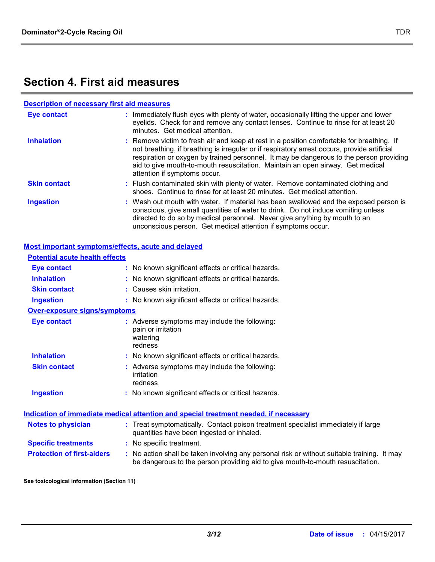## **Section 4. First aid measures**

| <b>Description of necessary first aid measures</b> |                                                                                                                                                                                                                                                                                                                                                                                                        |
|----------------------------------------------------|--------------------------------------------------------------------------------------------------------------------------------------------------------------------------------------------------------------------------------------------------------------------------------------------------------------------------------------------------------------------------------------------------------|
| <b>Eye contact</b>                                 | : Immediately flush eyes with plenty of water, occasionally lifting the upper and lower<br>eyelids. Check for and remove any contact lenses. Continue to rinse for at least 20<br>minutes. Get medical attention.                                                                                                                                                                                      |
| <b>Inhalation</b>                                  | : Remove victim to fresh air and keep at rest in a position comfortable for breathing. If<br>not breathing, if breathing is irregular or if respiratory arrest occurs, provide artificial<br>respiration or oxygen by trained personnel. It may be dangerous to the person providing<br>aid to give mouth-to-mouth resuscitation. Maintain an open airway. Get medical<br>attention if symptoms occur. |
| <b>Skin contact</b>                                | : Flush contaminated skin with plenty of water. Remove contaminated clothing and<br>shoes. Continue to rinse for at least 20 minutes. Get medical attention.                                                                                                                                                                                                                                           |
| <b>Ingestion</b>                                   | : Wash out mouth with water. If material has been swallowed and the exposed person is<br>conscious, give small quantities of water to drink. Do not induce vomiting unless<br>directed to do so by medical personnel. Never give anything by mouth to an<br>unconscious person. Get medical attention if symptoms occur.                                                                               |
| Most important symptoms/effects, acute and delayed |                                                                                                                                                                                                                                                                                                                                                                                                        |
| <b>Potential acute health effects</b>              |                                                                                                                                                                                                                                                                                                                                                                                                        |
| <b>Eye contact</b>                                 | : No known significant effects or critical hazards.                                                                                                                                                                                                                                                                                                                                                    |
| <b>Inhalation</b>                                  | : No known significant effects or critical hazards.                                                                                                                                                                                                                                                                                                                                                    |
| <b>Skin contact</b>                                | : Causes skin irritation.                                                                                                                                                                                                                                                                                                                                                                              |
| <b>Ingestion</b>                                   | : No known significant effects or critical hazards.                                                                                                                                                                                                                                                                                                                                                    |
| <b>Over-exposure signs/symptoms</b>                |                                                                                                                                                                                                                                                                                                                                                                                                        |
| <b>Eye contact</b>                                 | : Adverse symptoms may include the following:<br>pain or irritation<br>watering<br>redness                                                                                                                                                                                                                                                                                                             |
| <b>Inhalation</b>                                  | : No known significant effects or critical hazards.                                                                                                                                                                                                                                                                                                                                                    |
| <b>Skin contact</b>                                | : Adverse symptoms may include the following:<br>irritation<br>redness                                                                                                                                                                                                                                                                                                                                 |
| <b>Ingestion</b>                                   | : No known significant effects or critical hazards.                                                                                                                                                                                                                                                                                                                                                    |
|                                                    | Indication of immediate medical attention and special treatment needed, if necessary                                                                                                                                                                                                                                                                                                                   |
| <b>Notes to physician</b>                          | : Treat symptomatically. Contact poison treatment specialist immediately if large<br>quantities have been ingested or inhaled.                                                                                                                                                                                                                                                                         |
| <b>Specific treatments</b>                         | : No specific treatment.                                                                                                                                                                                                                                                                                                                                                                               |
| <b>Protection of first-aiders</b>                  | : No action shall be taken involving any personal risk or without suitable training. It may                                                                                                                                                                                                                                                                                                            |

**See toxicological information (Section 11)**

be dangerous to the person providing aid to give mouth-to-mouth resuscitation.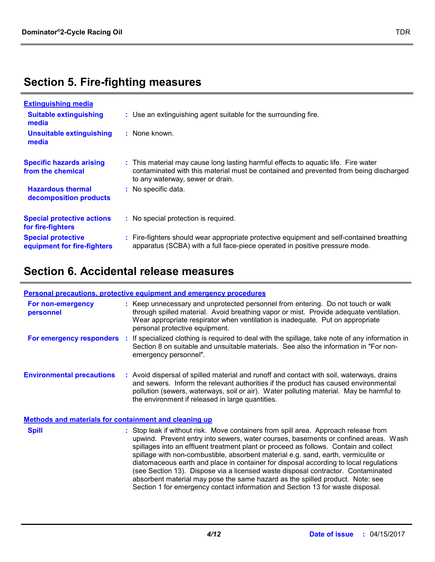# **Section 5. Fire-fighting measures**

| <b>Extinguishing media</b>                               |                                                                                                                                                                                                                 |
|----------------------------------------------------------|-----------------------------------------------------------------------------------------------------------------------------------------------------------------------------------------------------------------|
| <b>Suitable extinguishing</b><br>media                   | : Use an extinguishing agent suitable for the surrounding fire.                                                                                                                                                 |
| <b>Unsuitable extinguishing</b><br>media                 | : None known.                                                                                                                                                                                                   |
| <b>Specific hazards arising</b><br>from the chemical     | : This material may cause long lasting harmful effects to aquatic life. Fire water<br>contaminated with this material must be contained and prevented from being discharged<br>to any waterway, sewer or drain. |
| <b>Hazardous thermal</b><br>decomposition products       | : No specific data.                                                                                                                                                                                             |
| <b>Special protective actions</b><br>for fire-fighters   | : No special protection is required.                                                                                                                                                                            |
| <b>Special protective</b><br>equipment for fire-fighters | : Fire-fighters should wear appropriate protective equipment and self-contained breathing<br>apparatus (SCBA) with a full face-piece operated in positive pressure mode.                                        |

# **Section 6. Accidental release measures**

|                                                       | Personal precautions, protective equipment and emergency procedures                                                                                                                                                                                   |                                                                                                                                                                                                                                                                                                                                                                                                                                                  |
|-------------------------------------------------------|-------------------------------------------------------------------------------------------------------------------------------------------------------------------------------------------------------------------------------------------------------|--------------------------------------------------------------------------------------------------------------------------------------------------------------------------------------------------------------------------------------------------------------------------------------------------------------------------------------------------------------------------------------------------------------------------------------------------|
| For non-emergency<br>personnel                        | Wear appropriate respirator when ventilation is inadequate. Put on appropriate<br>personal protective equipment.                                                                                                                                      | : Keep unnecessary and unprotected personnel from entering. Do not touch or walk<br>through spilled material. Avoid breathing vapor or mist. Provide adequate ventilation.                                                                                                                                                                                                                                                                       |
| For emergency responders                              | emergency personnel".                                                                                                                                                                                                                                 | If specialized clothing is required to deal with the spillage, take note of any information in<br>Section 8 on suitable and unsuitable materials. See also the information in "For non-                                                                                                                                                                                                                                                          |
| <b>Environmental precautions</b>                      | the environment if released in large quantities.                                                                                                                                                                                                      | : Avoid dispersal of spilled material and runoff and contact with soil, waterways, drains<br>and sewers. Inform the relevant authorities if the product has caused environmental<br>pollution (sewers, waterways, soil or air). Water polluting material. May be harmful to                                                                                                                                                                      |
| Methods and materials for containment and cleaning up |                                                                                                                                                                                                                                                       |                                                                                                                                                                                                                                                                                                                                                                                                                                                  |
| <b>Spill</b>                                          | spillage with non-combustible, absorbent material e.g. sand, earth, vermiculite or<br>absorbent material may pose the same hazard as the spilled product. Note: see<br>Section 1 for emergency contact information and Section 13 for waste disposal. | : Stop leak if without risk. Move containers from spill area. Approach release from<br>upwind. Prevent entry into sewers, water courses, basements or confined areas. Wash<br>spillages into an effluent treatment plant or proceed as follows. Contain and collect<br>diatomaceous earth and place in container for disposal according to local regulations<br>(see Section 13). Dispose via a licensed waste disposal contractor. Contaminated |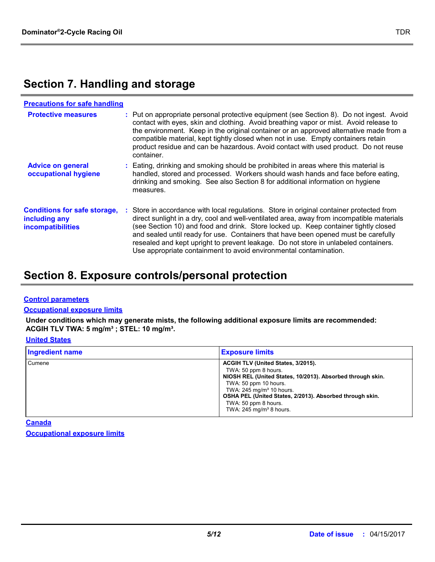# **Section 7. Handling and storage**

| <b>Precautions for safe handling</b>                                      |                                                                                                                                                                                                                                                                                                                                                                                                                                                                                                                                |
|---------------------------------------------------------------------------|--------------------------------------------------------------------------------------------------------------------------------------------------------------------------------------------------------------------------------------------------------------------------------------------------------------------------------------------------------------------------------------------------------------------------------------------------------------------------------------------------------------------------------|
| <b>Protective measures</b>                                                | : Put on appropriate personal protective equipment (see Section 8). Do not ingest. Avoid<br>contact with eyes, skin and clothing. Avoid breathing vapor or mist. Avoid release to<br>the environment. Keep in the original container or an approved alternative made from a<br>compatible material, kept tightly closed when not in use. Empty containers retain<br>product residue and can be hazardous. Avoid contact with used product. Do not reuse<br>container.                                                          |
| <b>Advice on general</b><br>occupational hygiene                          | : Eating, drinking and smoking should be prohibited in areas where this material is<br>handled, stored and processed. Workers should wash hands and face before eating,<br>drinking and smoking. See also Section 8 for additional information on hygiene<br>measures.                                                                                                                                                                                                                                                         |
| <b>Conditions for safe storage,</b><br>including any<br>incompatibilities | : Store in accordance with local regulations. Store in original container protected from<br>direct sunlight in a dry, cool and well-ventilated area, away from incompatible materials<br>(see Section 10) and food and drink. Store locked up. Keep container tightly closed<br>and sealed until ready for use. Containers that have been opened must be carefully<br>resealed and kept upright to prevent leakage. Do not store in unlabeled containers.<br>Use appropriate containment to avoid environmental contamination. |

# **Section 8. Exposure controls/personal protection**

#### **Control parameters**

#### **Occupational exposure limits**

**Under conditions which may generate mists, the following additional exposure limits are recommended: ACGIH TLV TWA: 5 mg/m³ ; STEL: 10 mg/m³.**

### **United States**

| <b>Ingredient name</b> | <b>Exposure limits</b>                                                                                                                                                                                                                                                                                                   |
|------------------------|--------------------------------------------------------------------------------------------------------------------------------------------------------------------------------------------------------------------------------------------------------------------------------------------------------------------------|
| Cumene                 | ACGIH TLV (United States, 3/2015).<br>TWA: 50 ppm 8 hours.<br>NIOSH REL (United States, 10/2013). Absorbed through skin.<br>TWA: 50 ppm 10 hours.<br>TWA: $245$ mg/m <sup>3</sup> 10 hours.<br>OSHA PEL (United States, 2/2013). Absorbed through skin.<br>TWA: 50 ppm 8 hours.<br>TWA: $245$ mg/m <sup>3</sup> 8 hours. |

**Occupational exposure limits Canada**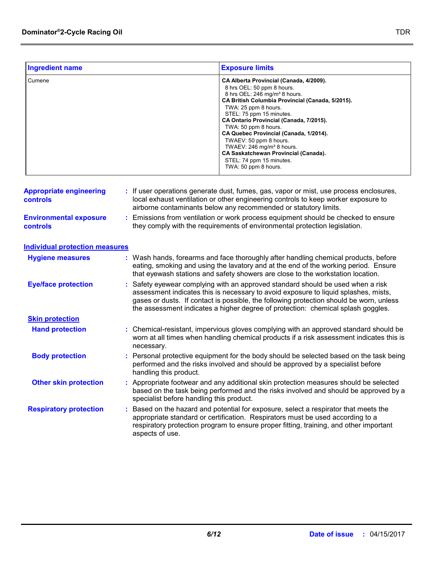| <b>Ingredient name</b> | <b>Exposure limits</b>                                                                                                                                                                                                                                                                                                                                                                                                                                                                                        |
|------------------------|---------------------------------------------------------------------------------------------------------------------------------------------------------------------------------------------------------------------------------------------------------------------------------------------------------------------------------------------------------------------------------------------------------------------------------------------------------------------------------------------------------------|
| Cumene                 | CA Alberta Provincial (Canada, 4/2009).<br>8 hrs OEL: 50 ppm 8 hours.<br>8 hrs OEL: 246 mg/m <sup>3</sup> 8 hours.<br>CA British Columbia Provincial (Canada, 5/2015).<br>TWA: 25 ppm 8 hours.<br>STEL: 75 ppm 15 minutes.<br>CA Ontario Provincial (Canada, 7/2015).<br>TWA: 50 ppm 8 hours.<br>CA Quebec Provincial (Canada, 1/2014).<br>TWAEV: 50 ppm 8 hours.<br>TWAEV: 246 mg/m <sup>3</sup> 8 hours.<br><b>CA Saskatchewan Provincial (Canada).</b><br>STEL: 74 ppm 15 minutes.<br>TWA: 50 ppm 8 hours. |

| <b>Appropriate engineering</b><br><b>controls</b> | If user operations generate dust, fumes, gas, vapor or mist, use process enclosures,<br>local exhaust ventilation or other engineering controls to keep worker exposure to<br>airborne contaminants below any recommended or statutory limits.                                                                                                      |
|---------------------------------------------------|-----------------------------------------------------------------------------------------------------------------------------------------------------------------------------------------------------------------------------------------------------------------------------------------------------------------------------------------------------|
| <b>Environmental exposure</b><br><b>controls</b>  | Emissions from ventilation or work process equipment should be checked to ensure<br>they comply with the requirements of environmental protection legislation.                                                                                                                                                                                      |
| <b>Individual protection measures</b>             |                                                                                                                                                                                                                                                                                                                                                     |
| <b>Hygiene measures</b>                           | Wash hands, forearms and face thoroughly after handling chemical products, before<br>eating, smoking and using the lavatory and at the end of the working period. Ensure<br>that eyewash stations and safety showers are close to the workstation location.                                                                                         |
| <b>Eye/face protection</b>                        | Safety eyewear complying with an approved standard should be used when a risk<br>assessment indicates this is necessary to avoid exposure to liquid splashes, mists,<br>gases or dusts. If contact is possible, the following protection should be worn, unless<br>the assessment indicates a higher degree of protection: chemical splash goggles. |
| <b>Skin protection</b>                            |                                                                                                                                                                                                                                                                                                                                                     |
| <b>Hand protection</b>                            | : Chemical-resistant, impervious gloves complying with an approved standard should be<br>worn at all times when handling chemical products if a risk assessment indicates this is<br>necessary.                                                                                                                                                     |
| <b>Body protection</b>                            | Personal protective equipment for the body should be selected based on the task being<br>performed and the risks involved and should be approved by a specialist before<br>handling this product.                                                                                                                                                   |
| <b>Other skin protection</b>                      | Appropriate footwear and any additional skin protection measures should be selected<br>based on the task being performed and the risks involved and should be approved by a<br>specialist before handling this product.                                                                                                                             |
| <b>Respiratory protection</b>                     | Based on the hazard and potential for exposure, select a respirator that meets the<br>appropriate standard or certification. Respirators must be used according to a<br>respiratory protection program to ensure proper fitting, training, and other important<br>aspects of use.                                                                   |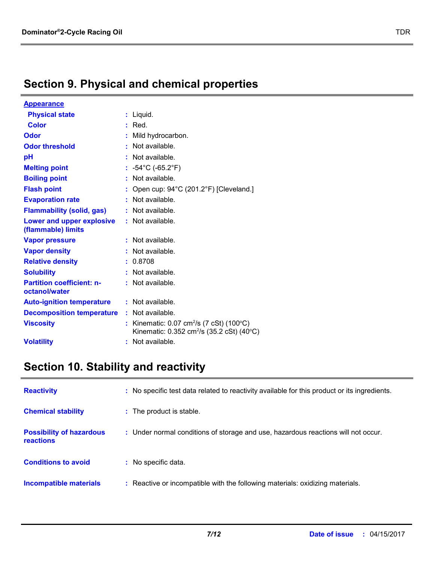# **Section 9. Physical and chemical properties**

| <b>Appearance</b>                                 |    |                                                                                                                  |
|---------------------------------------------------|----|------------------------------------------------------------------------------------------------------------------|
| <b>Physical state</b>                             |    | Liquid.                                                                                                          |
| <b>Color</b>                                      |    | $:$ Red.                                                                                                         |
| Odor                                              |    | Mild hydrocarbon.                                                                                                |
| <b>Odor threshold</b>                             |    | Not available.                                                                                                   |
| рH                                                |    | Not available.                                                                                                   |
| <b>Melting point</b>                              |    | : $-54^{\circ}$ C (-65.2 $^{\circ}$ F)                                                                           |
| <b>Boiling point</b>                              | ÷. | Not available.                                                                                                   |
| <b>Flash point</b>                                |    | Open cup: 94°C (201.2°F) [Cleveland.]                                                                            |
| <b>Evaporation rate</b>                           |    | Not available.                                                                                                   |
| <b>Flammability (solid, gas)</b>                  |    | Not available.                                                                                                   |
| Lower and upper explosive<br>(flammable) limits   |    | : Not available.                                                                                                 |
| <b>Vapor pressure</b>                             |    | Not available.                                                                                                   |
| <b>Vapor density</b>                              |    | Not available.                                                                                                   |
| <b>Relative density</b>                           |    | 0.8708                                                                                                           |
| <b>Solubility</b>                                 |    | Not available.                                                                                                   |
| <b>Partition coefficient: n-</b><br>octanol/water |    | $:$ Not available.                                                                                               |
| <b>Auto-ignition temperature</b>                  |    | $:$ Not available.                                                                                               |
| <b>Decomposition temperature</b>                  |    | $:$ Not available.                                                                                               |
| <b>Viscosity</b>                                  |    | Kinematic: $0.07 \text{ cm}^2/\text{s}$ (7 cSt) (100°C)<br>Kinematic: 0.352 cm <sup>2</sup> /s (35.2 cSt) (40°C) |
| <b>Volatility</b>                                 |    | Not available.                                                                                                   |

# **Section 10. Stability and reactivity**

| <b>Reactivity</b>                            | : No specific test data related to reactivity available for this product or its ingredients. |
|----------------------------------------------|----------------------------------------------------------------------------------------------|
| <b>Chemical stability</b>                    | : The product is stable.                                                                     |
| <b>Possibility of hazardous</b><br>reactions | : Under normal conditions of storage and use, hazardous reactions will not occur.            |
| <b>Conditions to avoid</b>                   | : No specific data.                                                                          |
| Incompatible materials                       | : Reactive or incompatible with the following materials: oxidizing materials.                |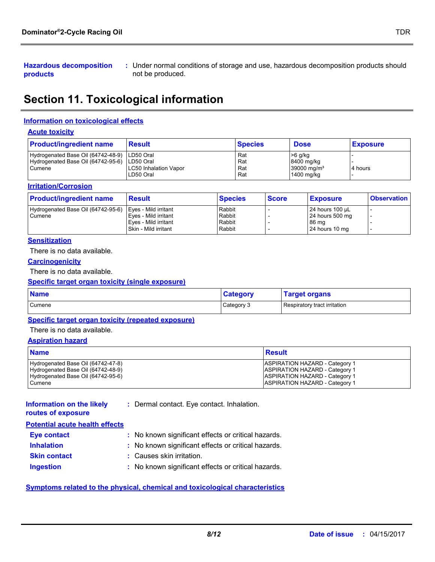**Hazardous decomposition products**

Under normal conditions of storage and use, hazardous decomposition products should **:** not be produced.

# **Section 11. Toxicological information**

#### **Information on toxicological effects**

#### **Acute toxicity**

| <b>Product/ingredient name</b>                                                                           | <b>Result</b>                      | <b>Species</b>           | <b>Dose</b>                                                      | <b>Exposure</b> |
|----------------------------------------------------------------------------------------------------------|------------------------------------|--------------------------|------------------------------------------------------------------|-----------------|
| Hydrogenated Base Oil (64742-48-9)   LD50 Oral<br>Hydrogenated Base Oil (64742-95-6) LD50 Oral<br>Cumene | LC50 Inhalation Vapor<br>LD50 Oral | Rat<br>Rat<br>Rat<br>Rat | $>6$ g/kg<br>8400 mg/kg<br>39000 mg/m <sup>3</sup><br>1400 mg/kg | 4 hours         |

#### **Irritation/Corrosion**

| <b>Product/ingredient name</b>                            | <b>Result</b>                                  | <b>Species</b>   | <b>Score</b> | <b>Exposure</b>          | <b>Observation</b> |
|-----------------------------------------------------------|------------------------------------------------|------------------|--------------|--------------------------|--------------------|
| Hydrogenated Base Oil (64742-95-6)   Eyes - Mild irritant |                                                | Rabbit           |              | $24$ hours 100 µL        |                    |
| Cumene                                                    | l Eves - Mild irritant<br>Eves - Mild irritant | Rabbit<br>Rabbit |              | 24 hours 500 mg<br>86 ma |                    |
|                                                           | l Skin - Mild irritant                         | Rabbit           |              | 24 hours 10 mg           |                    |

#### **Sensitization**

There is no data available.

#### **Carcinogenicity**

There is no data available.

#### **Specific target organ toxicity (single exposure)**

| <b>Name</b> | <b>Category</b> | <b>Target organs</b>         |
|-------------|-----------------|------------------------------|
| Cumene      | Category 3      | Respiratory tract irritation |

#### **Specific target organ toxicity (repeated exposure)**

There is no data available.

#### **Aspiration hazard**

| <b>Name</b>                        | Result                                |
|------------------------------------|---------------------------------------|
| Hydrogenated Base Oil (64742-47-8) | <b>ASPIRATION HAZARD - Category 1</b> |
| Hydrogenated Base Oil (64742-48-9) | <b>ASPIRATION HAZARD - Category 1</b> |
| Hydrogenated Base Oil (64742-95-6) | <b>ASPIRATION HAZARD - Category 1</b> |
| Cumene                             | <b>ASPIRATION HAZARD - Category 1</b> |

| Information on the likely             | : Dermal contact. Eye contact. Inhalation. |
|---------------------------------------|--------------------------------------------|
| routes of exposure                    |                                            |
| <b>Potential acute health effects</b> |                                            |

| <b>Eve contact</b>  | : No known significant effects or critical hazards. |
|---------------------|-----------------------------------------------------|
| <b>Inhalation</b>   | : No known significant effects or critical hazards. |
| <b>Skin contact</b> | : Causes skin irritation.                           |
| <b>Ingestion</b>    | : No known significant effects or critical hazards. |

**Symptoms related to the physical, chemical and toxicological characteristics**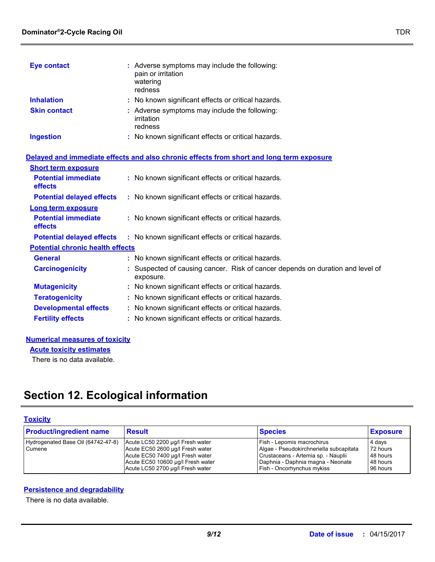| <b>Eye contact</b>  | : Adverse symptoms may include the following:<br>pain or irritation<br>watering<br>redness |
|---------------------|--------------------------------------------------------------------------------------------|
| <b>Inhalation</b>   | : No known significant effects or critical hazards.                                        |
| <b>Skin contact</b> | : Adverse symptoms may include the following:<br>irritation<br>redness                     |
| <b>Ingestion</b>    | : No known significant effects or critical hazards.                                        |

|                                              | Delayed and immediate effects and also chronic effects from short and long term exposure    |  |
|----------------------------------------------|---------------------------------------------------------------------------------------------|--|
| <b>Short term exposure</b>                   |                                                                                             |  |
| <b>Potential immediate</b><br><b>effects</b> | : No known significant effects or critical hazards.                                         |  |
| <b>Potential delayed effects</b>             | : No known significant effects or critical hazards.                                         |  |
| <b>Long term exposure</b>                    |                                                                                             |  |
| <b>Potential immediate</b><br><b>effects</b> | : No known significant effects or critical hazards.                                         |  |
| <b>Potential delayed effects</b>             | : No known significant effects or critical hazards.                                         |  |
| <b>Potential chronic health effects</b>      |                                                                                             |  |
| <b>General</b>                               | : No known significant effects or critical hazards.                                         |  |
| <b>Carcinogenicity</b>                       | : Suspected of causing cancer. Risk of cancer depends on duration and level of<br>exposure. |  |
| <b>Mutagenicity</b>                          | : No known significant effects or critical hazards.                                         |  |
| <b>Teratogenicity</b>                        | : No known significant effects or critical hazards.                                         |  |
| <b>Developmental effects</b>                 | : No known significant effects or critical hazards.                                         |  |
| <b>Fertility effects</b>                     | : No known significant effects or critical hazards.                                         |  |
|                                              |                                                                                             |  |

#### **Numerical measures of toxicity**

**Acute toxicity estimates**

There is no data available.

# **Section 12. Ecological information**

### **Toxicity**

| <b>Product/ingredient name</b>               | <b>Result</b>                                                                                                                                                                     | <b>Species</b>                                                                                                                                                                  | <b>Exposure</b>                                        |
|----------------------------------------------|-----------------------------------------------------------------------------------------------------------------------------------------------------------------------------------|---------------------------------------------------------------------------------------------------------------------------------------------------------------------------------|--------------------------------------------------------|
| Hydrogenated Base Oil (64742-47-8)<br>Cumene | Acute LC50 2200 µg/l Fresh water<br>Acute EC50 2600 µg/l Fresh water<br>Acute EC50 7400 µg/l Fresh water<br>Acute EC50 10600 µg/l Fresh water<br>Acute LC50 2700 µg/l Fresh water | Fish - Lepomis macrochirus<br>Algae - Pseudokirchneriella subcapitata<br>Crustaceans - Artemia sp. - Nauplii<br>Daphnia - Daphnia magna - Neonate<br>Fish - Oncorhynchus mykiss | 4 days<br>72 hours<br>48 hours<br>48 hours<br>96 hours |

#### **Persistence and degradability**

There is no data available.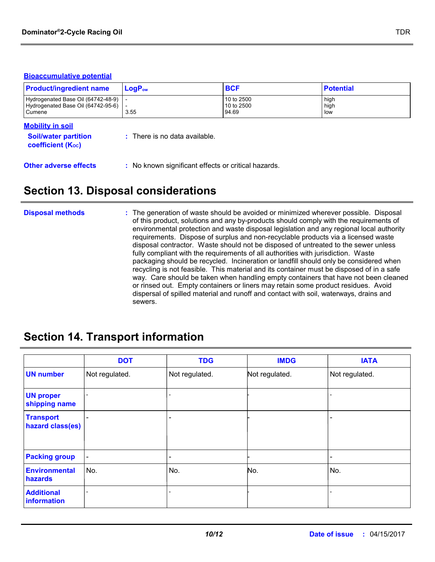#### **Bioaccumulative potential**

| <b>Product/ingredient name</b>                                                           | $LogP_{ow}$                              | <b>BCF</b>                        | <b>Potential</b>    |
|------------------------------------------------------------------------------------------|------------------------------------------|-----------------------------------|---------------------|
| Hydrogenated Base Oil (64742-48-9)<br>Hydrogenated Base Oil (64742-95-6)<br>Cumene       | 3.55                                     | 10 to 2500<br>10 to 2500<br>94.69 | high<br>high<br>low |
| <b>Mobility in soil</b><br><b>Soil/water partition</b><br>coefficient (K <sub>oc</sub> ) | $\therefore$ There is no data available. |                                   |                     |

**Other adverse effects** : No known significant effects or critical hazards.

## **Section 13. Disposal considerations**

#### The generation of waste should be avoided or minimized wherever possible. Disposal of this product, solutions and any by-products should comply with the requirements of environmental protection and waste disposal legislation and any regional local authority requirements. Dispose of surplus and non-recyclable products via a licensed waste disposal contractor. Waste should not be disposed of untreated to the sewer unless fully compliant with the requirements of all authorities with jurisdiction. Waste packaging should be recycled. Incineration or landfill should only be considered when recycling is not feasible. This material and its container must be disposed of in a safe way. Care should be taken when handling empty containers that have not been cleaned or rinsed out. Empty containers or liners may retain some product residues. Avoid dispersal of spilled material and runoff and contact with soil, waterways, drains and sewers. **Disposal methods :**

## **Section 14. Transport information**

|                                      | <b>DOT</b>               | <b>TDG</b>     | <b>IMDG</b>    | <b>IATA</b>    |
|--------------------------------------|--------------------------|----------------|----------------|----------------|
| <b>UN number</b>                     | Not regulated.           | Not regulated. | Not regulated. | Not regulated. |
| <b>UN proper</b><br>shipping name    |                          |                |                |                |
| <b>Transport</b><br>hazard class(es) |                          | ۰              |                |                |
| <b>Packing group</b>                 | $\overline{\phantom{a}}$ | -              |                |                |
| <b>Environmental</b><br>hazards      | No.                      | No.            | No.            | No.            |
| <b>Additional</b><br>information     | $\overline{a}$           |                |                |                |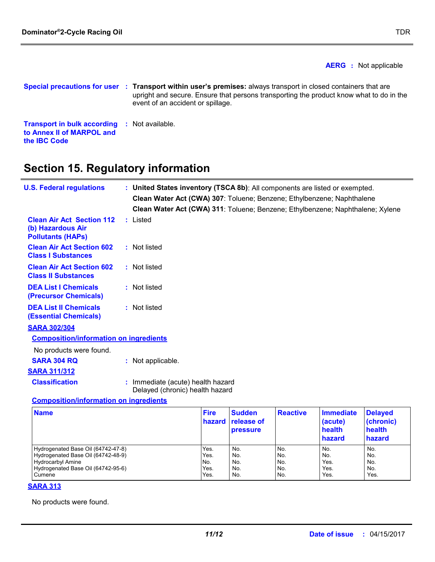**the IBC Code**

**AERG :** Not applicable

```
Special precautions for user
Transport within user's premises: always transport in closed containers that are 
:
Transport in bulk according 
: Not available.
to Annex II of MARPOL and 
                                upright and secure. Ensure that persons transporting the product know what to do in the 
                                event of an accident or spillage.
```
# **Section 15. Regulatory information**

| <b>U.S. Federal regulations</b>                                                   | : United States inventory (TSCA 8b): All components are listed or exempted.<br>Clean Water Act (CWA) 307: Toluene; Benzene; Ethylbenzene; Naphthalene<br>Clean Water Act (CWA) 311: Toluene; Benzene; Ethylbenzene; Naphthalene; Xylene |
|-----------------------------------------------------------------------------------|-----------------------------------------------------------------------------------------------------------------------------------------------------------------------------------------------------------------------------------------|
| <b>Clean Air Act Section 112</b><br>(b) Hazardous Air<br><b>Pollutants (HAPS)</b> | : Listed                                                                                                                                                                                                                                |
| <b>Clean Air Act Section 602</b><br><b>Class I Substances</b>                     | : Not listed                                                                                                                                                                                                                            |
| <b>Clean Air Act Section 602</b><br><b>Class II Substances</b>                    | : Not listed                                                                                                                                                                                                                            |
| <b>DEA List I Chemicals</b><br>(Precursor Chemicals)                              | : Not listed                                                                                                                                                                                                                            |
| <b>DEA List II Chemicals</b><br><b>(Essential Chemicals)</b>                      | : Not listed                                                                                                                                                                                                                            |
| <b>SARA 302/304</b>                                                               |                                                                                                                                                                                                                                         |
| <b>Composition/information on ingredients</b>                                     |                                                                                                                                                                                                                                         |
| No products were found.                                                           |                                                                                                                                                                                                                                         |
| <b>SARA 304 RQ</b>                                                                | : Not applicable.                                                                                                                                                                                                                       |
| <b>SARA 311/312</b>                                                               |                                                                                                                                                                                                                                         |
| <b>Classification</b>                                                             | : Immediate (acute) health hazard<br>Delayed (chronic) health hazard                                                                                                                                                                    |
| <b>Composition/information on ingredients</b>                                     |                                                                                                                                                                                                                                         |

| <b>Name</b>                        | <b>Fire</b><br>hazard | <b>Sudden</b><br><b>release of</b><br><b>pressure</b> | <b>Reactive</b> | Immediate<br>(acute)<br>health<br>hazard | <b>Delayed</b><br>(chronic)<br>health<br>hazard |
|------------------------------------|-----------------------|-------------------------------------------------------|-----------------|------------------------------------------|-------------------------------------------------|
| Hydrogenated Base Oil (64742-47-8) | Yes.                  | No.                                                   | No.             | No.                                      | No.                                             |
| Hydrogenated Base Oil (64742-48-9) | Yes.                  | No.                                                   | No.             | No.                                      | No.                                             |
| <b>Hydrocarbyl Amine</b>           | INo.                  | No.                                                   | No.             | Yes.                                     | No.                                             |
| Hydrogenated Base Oil (64742-95-6) | Yes.                  | No.                                                   | No.             | Yes.                                     | No.                                             |
| Cumene                             | Yes.                  | No.                                                   | No.             | Yes.                                     | Yes.                                            |

#### **SARA 313**

No products were found.